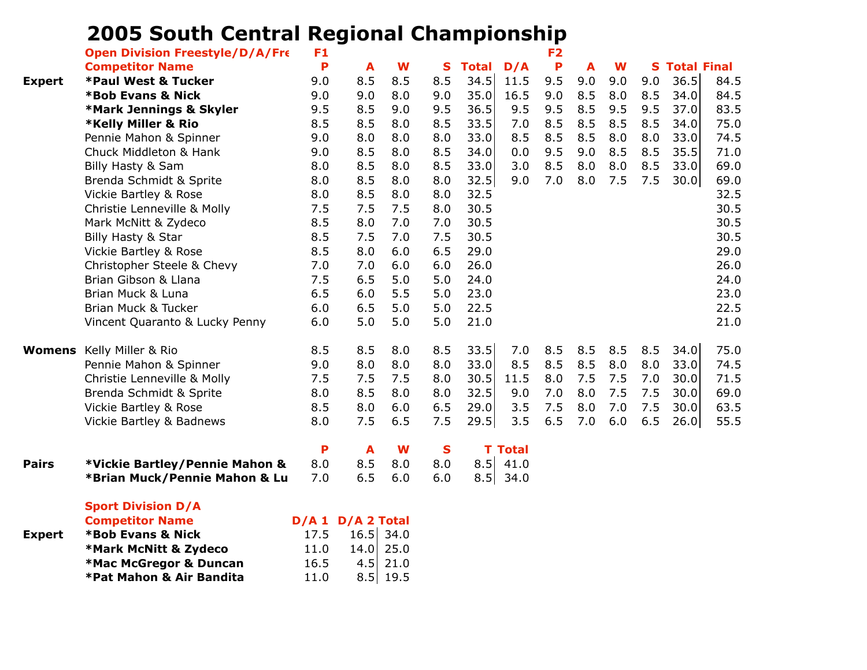## **2005 South Central Regional Championship**

**\*Pat Mahon & Air Bandita** 11.0 8.5 19.5

|               | <b>Open Division Freestyle/D/A/Fre</b> | F <sub>1</sub> |                   |      |              |              |                | F <sub>2</sub> |     |     |     |                    |      |
|---------------|----------------------------------------|----------------|-------------------|------|--------------|--------------|----------------|----------------|-----|-----|-----|--------------------|------|
|               | <b>Competitor Name</b>                 | P              | A                 | W    | S            | <b>Total</b> | D/A            | P              | A   | W   | S   | <b>Total Final</b> |      |
| <b>Expert</b> | <b>*Paul West &amp; Tucker</b>         | 9.0            | 8.5               | 8.5  | 8.5          | 34.5         | 11.5           | 9.5            | 9.0 | 9.0 | 9.0 | 36.5               | 84.5 |
|               | <b>*Bob Evans &amp; Nick</b>           | 9.0            | 9.0               | 8.0  | 9.0          | 35.0         | 16.5           | 9.0            | 8.5 | 8.0 | 8.5 | 34.0               | 84.5 |
|               | <b>*Mark Jennings &amp; Skyler</b>     | 9.5            | 8.5               | 9.0  | 9.5          | 36.5         | 9.5            | 9.5            | 8.5 | 9.5 | 9.5 | 37.0               | 83.5 |
|               | <b>*Kelly Miller &amp; Rio</b>         | 8.5            | 8.5               | 8.0  | 8.5          | 33.5         | 7.0            | 8.5            | 8.5 | 8.5 | 8.5 | 34.0               | 75.0 |
|               | Pennie Mahon & Spinner                 | 9.0            | 8.0               | 8.0  | 8.0          | 33.0         | 8.5            | 8.5            | 8.5 | 8.0 | 8.0 | 33.0               | 74.5 |
|               | Chuck Middleton & Hank                 | 9.0            | 8.5               | 8.0  | 8.5          | 34.0         | 0.0            | 9.5            | 9.0 | 8.5 | 8.5 | 35.5               | 71.0 |
|               | Billy Hasty & Sam                      | 8.0            | 8.5               | 8.0  | 8.5          | 33.0         | 3.0            | 8.5            | 8.0 | 8.0 | 8.5 | 33.0               | 69.0 |
|               | Brenda Schmidt & Sprite                | 8.0            | 8.5               | 8.0  | 8.0          | 32.5         | 9.0            | 7.0            | 8.0 | 7.5 | 7.5 | 30.0               | 69.0 |
|               | Vickie Bartley & Rose                  | 8.0            | 8.5               | 8.0  | 8.0          | 32.5         |                |                |     |     |     |                    | 32.5 |
|               | Christie Lenneville & Molly            | 7.5            | 7.5               | 7.5  | 8.0          | 30.5         |                |                |     |     |     |                    | 30.5 |
|               | Mark McNitt & Zydeco                   | 8.5            | 8.0               | 7.0  | 7.0          | 30.5         |                |                |     |     |     |                    | 30.5 |
|               | Billy Hasty & Star                     | 8.5            | 7.5               | 7.0  | 7.5          | 30.5         |                |                |     |     |     |                    | 30.5 |
|               | Vickie Bartley & Rose                  | 8.5            | 8.0               | 6.0  | 6.5          | 29.0         |                |                |     |     |     |                    | 29.0 |
|               | Christopher Steele & Chevy             | 7.0            | 7.0               | 6.0  | 6.0          | 26.0         |                |                |     |     |     |                    | 26.0 |
|               | Brian Gibson & Llana                   | 7.5            | 6.5               | 5.0  | 5.0          | 24.0         |                |                |     |     |     |                    | 24.0 |
|               | Brian Muck & Luna                      | 6.5            | 6.0               | 5.5  | 5.0          | 23.0         |                |                |     |     |     |                    | 23.0 |
|               | Brian Muck & Tucker                    | 6.0            | 6.5               | 5.0  | 5.0          | 22.5         |                |                |     |     |     |                    | 22.5 |
|               | Vincent Quaranto & Lucky Penny         | 6.0            | 5.0               | 5.0  | 5.0          | 21.0         |                |                |     |     |     |                    | 21.0 |
|               | <b>Womens</b> Kelly Miller & Rio       | 8.5            | 8.5               | 8.0  | 8.5          | 33.5         | 7.0            | 8.5            | 8.5 | 8.5 | 8.5 | 34.0               | 75.0 |
|               | Pennie Mahon & Spinner                 | 9.0            | 8.0               | 8.0  | 8.0          | 33.0         | 8.5            | 8.5            | 8.5 | 8.0 | 8.0 | 33.0               | 74.5 |
|               | Christie Lenneville & Molly            | 7.5            | 7.5               | 7.5  | 8.0          | 30.5         | 11.5           | 8.0            | 7.5 | 7.5 | 7.0 | 30.0               | 71.5 |
|               | Brenda Schmidt & Sprite                | 8.0            | 8.5               | 8.0  | 8.0          | 32.5         | 9.0            | 7.0            | 8.0 | 7.5 | 7.5 | 30.0               | 69.0 |
|               | Vickie Bartley & Rose                  | 8.5            | 8.0               | 6.0  | 6.5          | 29.0         | 3.5            | 7.5            | 8.0 | 7.0 | 7.5 | 30.0               | 63.5 |
|               | Vickie Bartley & Badnews               | 8.0            | 7.5               | 6.5  | 7.5          | 29.5         | 3.5            | 6.5            | 7.0 | 6.0 | 6.5 | 26.0               | 55.5 |
|               |                                        | P              | A                 | W    | $\mathbf{s}$ |              | <b>T</b> Total |                |     |     |     |                    |      |
| <b>Pairs</b>  | *Vickie Bartley/Pennie Mahon &         | 8.0            | 8.5               | 8.0  | 8.0          | 8.5          | 41.0           |                |     |     |     |                    |      |
|               | *Brian Muck/Pennie Mahon & Lu          | 7.0            | 6.5               | 6.0  | 6.0          | 8.5          | 34.0           |                |     |     |     |                    |      |
|               | <b>Sport Division D/A</b>              |                |                   |      |              |              |                |                |     |     |     |                    |      |
|               | <b>Competitor Name</b>                 |                | D/A 1 D/A 2 Total |      |              |              |                |                |     |     |     |                    |      |
| <b>Expert</b> | <b>*Bob Evans &amp; Nick</b>           | 17.5           | $16.5$ 34.0       |      |              |              |                |                |     |     |     |                    |      |
|               | *Mark McNitt & Zydeco                  | 11.0           | 14.0              | 25.0 |              |              |                |                |     |     |     |                    |      |
|               | *Mac McGregor & Duncan                 | 16.5           | 4.5               | 21.0 |              |              |                |                |     |     |     |                    |      |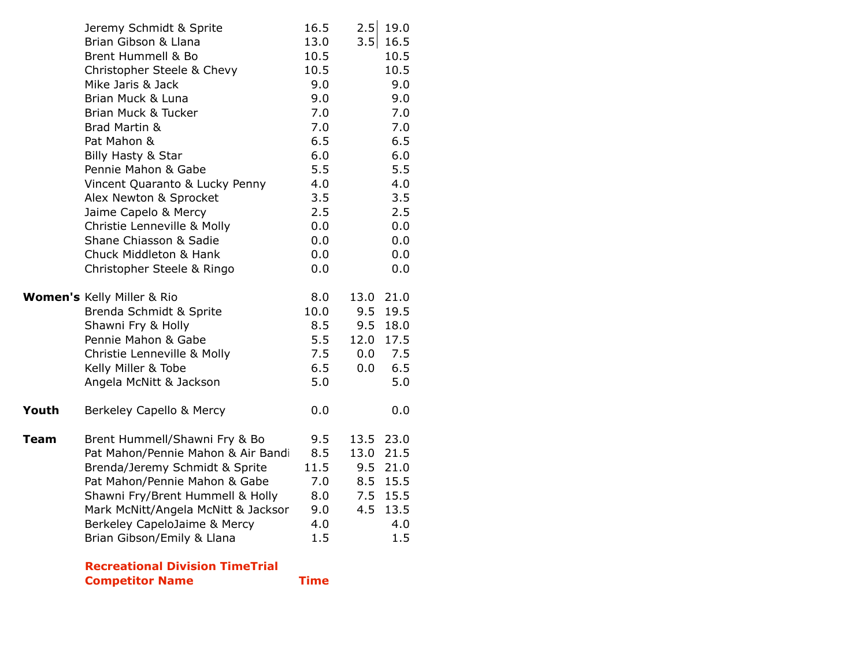|       | <b>Competitor Name</b>                                            | <b>Time</b> |                            |
|-------|-------------------------------------------------------------------|-------------|----------------------------|
|       | <b>Recreational Division TimeTrial</b>                            |             |                            |
|       | Brian Gibson/Emily & Llana                                        | 1.5         | 1.5                        |
|       | Berkeley CapeloJaime & Mercy                                      | 4.0         | 4.0                        |
|       | Mark McNitt/Angela McNitt & Jacksor                               | 9.0         | 13.5<br>4.5                |
|       | Pat Mahon/Pennie Mahon & Gabe<br>Shawni Fry/Brent Hummell & Holly | 7.0<br>8.0  | 15.5<br>8.5<br>7.5<br>15.5 |
|       | Brenda/Jeremy Schmidt & Sprite                                    | 11.5        | 21.0<br>9.5                |
|       | Pat Mahon/Pennie Mahon & Air Bandi                                | 8.5         | 13.0<br>21.5               |
| Team  | Brent Hummell/Shawni Fry & Bo                                     | 9.5         | 13.5<br>23.0               |
|       |                                                                   |             |                            |
| Youth | Berkeley Capello & Mercy                                          | 0.0         | 0.0                        |
|       | Angela McNitt & Jackson                                           | 5.0         | 5.0                        |
|       | Kelly Miller & Tobe                                               | 6.5         | 6.5<br>0.0                 |
|       | Christie Lenneville & Molly                                       | 7.5         | 7.5<br>0.0                 |
|       | Pennie Mahon & Gabe                                               | 5.5         | 12.0<br>17.5               |
|       | Shawni Fry & Holly                                                | 8.5         | 9.5<br>18.0                |
|       | Brenda Schmidt & Sprite                                           | 10.0        | 9.5<br>19.5                |
|       | Women's Kelly Miller & Rio                                        | 8.0         | 21.0<br>13.0               |
|       | Christopher Steele & Ringo                                        | 0.0         | 0.0                        |
|       | Chuck Middleton & Hank                                            | 0.0         | 0.0                        |
|       | Shane Chiasson & Sadie                                            | 0.0         | 0.0                        |
|       | Christie Lenneville & Molly                                       | 0.0         | 0.0                        |
|       | Jaime Capelo & Mercy                                              | 2.5         | 2.5                        |
|       | Alex Newton & Sprocket                                            | 3.5         | 3.5                        |
|       | Vincent Quaranto & Lucky Penny                                    | 4.0         | 4.0                        |
|       | Pennie Mahon & Gabe                                               | 5.5         | 5.5                        |
|       | Billy Hasty & Star                                                | 6.0         | 6.0                        |
|       | Pat Mahon &                                                       | 6.5         | 6.5                        |
|       | Brad Martin &                                                     | 7.0         | 7.0                        |
|       | Brian Muck & Luna<br>Brian Muck & Tucker                          | 9.0<br>7.0  | 9.0<br>7.0                 |
|       | Mike Jaris & Jack                                                 | 9.0         | 9.0                        |
|       | Christopher Steele & Chevy                                        | 10.5        | 10.5                       |
|       | Brent Hummell & Bo                                                | 10.5        | 10.5                       |
|       | Brian Gibson & Llana                                              | 13.0        | 3.5<br>16.5                |
|       | Jeremy Schmidt & Sprite                                           | 16.5        | 2.5<br>19.0                |